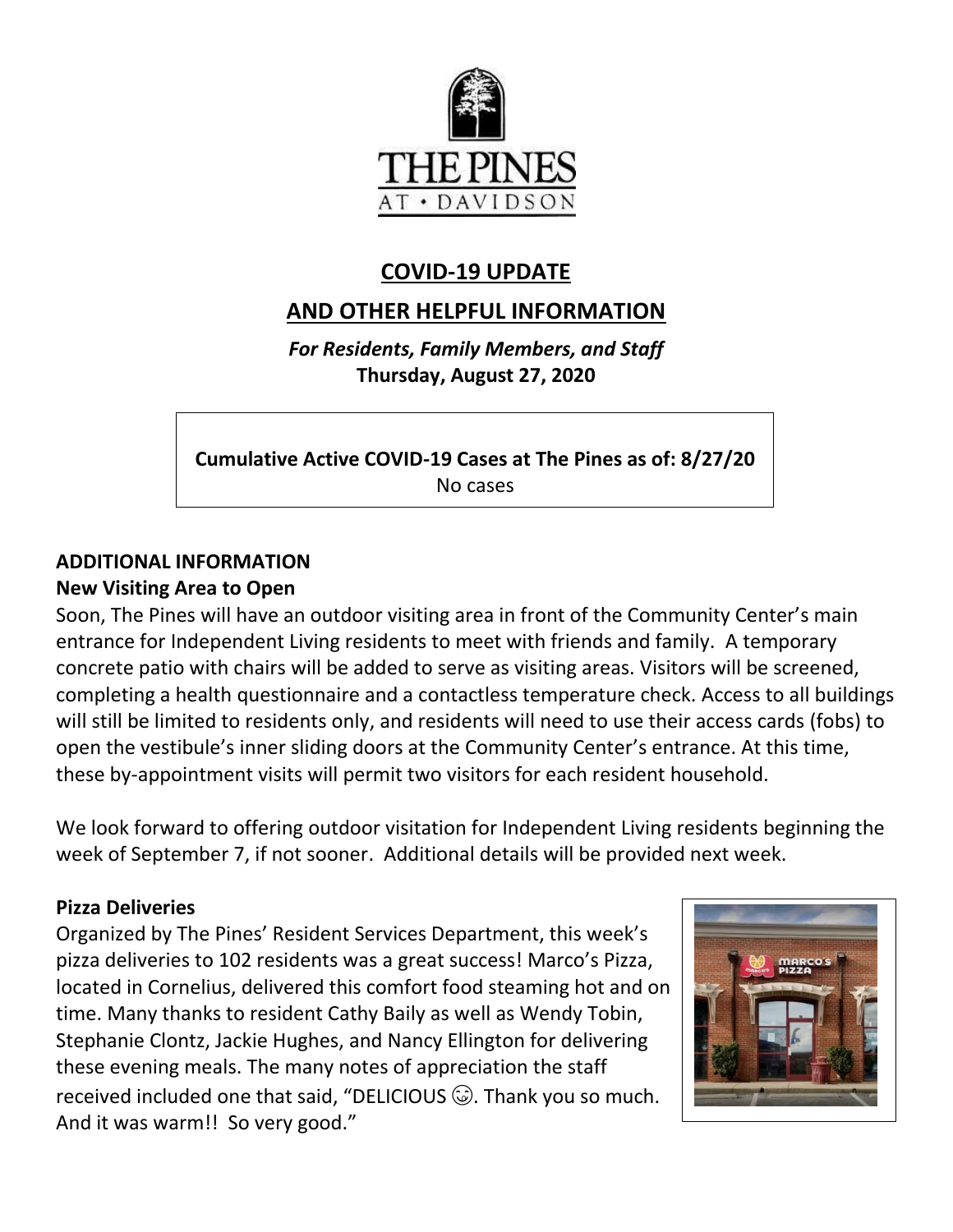

## **COVID-19 UPDATE**

# **AND OTHER HELPFUL INFORMATION**

*For Residents, Family Members, and Staff* **Thursday, August 27, 2020**

**Cumulative Active COVID-19 Cases at The Pines as of: 8/27/20** No cases

### **ADDITIONAL INFORMATION New Visiting Area to Open**

Soon, The Pines will have an outdoor visiting area in front of the Community Center's main entrance for Independent Living residents to meet with friends and family. A temporary concrete patio with chairs will be added to serve as visiting areas. Visitors will be screened, completing a health questionnaire and a contactless temperature check. Access to all buildings will still be limited to residents only, and residents will need to use their access cards (fobs) to open the vestibule's inner sliding doors at the Community Center's entrance. At this time, these by-appointment visits will permit two visitors for each resident household.

We look forward to offering outdoor visitation for Independent Living residents beginning the week of September 7, if not sooner. Additional details will be provided next week.

## **Pizza Deliveries**

Organized by The Pines' Resident Services Department, this week's pizza deliveries to 102 residents was a great success! Marco's Pizza, located in Cornelius, delivered this comfort food steaming hot and on time. Many thanks to resident Cathy Baily as well as Wendy Tobin, Stephanie Clontz, Jackie Hughes, and Nancy Ellington for delivering these evening meals. The many notes of appreciation the staff received included one that said, "DELICIOUS  $\circledcirc$ . Thank you so much. And it was warm!! So very good."